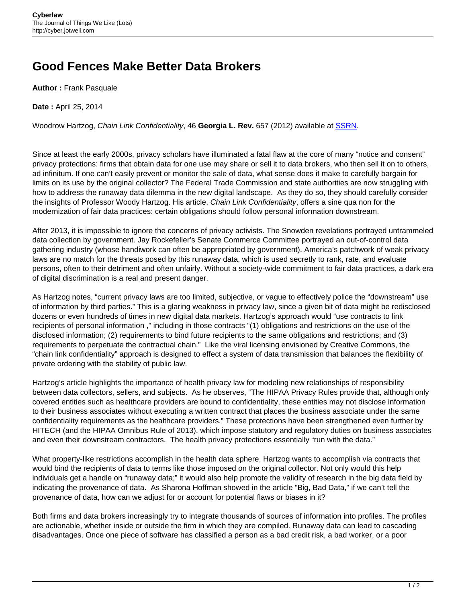## **Good Fences Make Better Data Brokers**

**Author :** Frank Pasquale

**Date :** April 25, 2014

Woodrow Hartzog, Chain Link Confidentiality, 46 **Georgia L. Rev.** 657 (2012) available at [SSRN.](http://papers.ssrn.com/sol3/papers.cfm?abstract_id=2045818)

Since at least the early 2000s, privacy scholars have illuminated a fatal flaw at the core of many "notice and consent" privacy protections: firms that obtain data for one use may share or sell it to data brokers, who then sell it on to others, ad infinitum. If one can't easily prevent or monitor the sale of data, what sense does it make to carefully bargain for limits on its use by the original collector? The Federal Trade Commission and state authorities are now struggling with how to address the runaway data dilemma in the new digital landscape. As they do so, they should carefully consider the insights of Professor Woody Hartzog. His article, Chain Link Confidentiality, offers a sine qua non for the modernization of fair data practices: certain obligations should follow personal information downstream.

After 2013, it is impossible to ignore the concerns of privacy activists. The Snowden revelations portrayed untrammeled data collection by government. Jay Rockefeller's Senate Commerce Committee portrayed an out-of-control data gathering industry (whose handiwork can often be appropriated by government). America's patchwork of weak privacy laws are no match for the threats posed by this runaway data, which is used secretly to rank, rate, and evaluate persons, often to their detriment and often unfairly. Without a society-wide commitment to fair data practices, a dark era of digital discrimination is a real and present danger.

As Hartzog notes, "current privacy laws are too limited, subjective, or vague to effectively police the "downstream" use of information by third parties." This is a glaring weakness in privacy law, since a given bit of data might be redisclosed dozens or even hundreds of times in new digital data markets. Hartzog's approach would "use contracts to link recipients of personal information ," including in those contracts "(1) obligations and restrictions on the use of the disclosed information; (2) requirements to bind future recipients to the same obligations and restrictions; and (3) requirements to perpetuate the contractual chain." Like the viral licensing envisioned by Creative Commons, the "chain link confidentiality" approach is designed to effect a system of data transmission that balances the flexibility of private ordering with the stability of public law.

Hartzog's article highlights the importance of health privacy law for modeling new relationships of responsibility between data collectors, sellers, and subjects. As he observes, "The HIPAA Privacy Rules provide that, although only covered entities such as healthcare providers are bound to confidentiality, these entities may not disclose information to their business associates without executing a written contract that places the business associate under the same confidentiality requirements as the healthcare providers." These protections have been strengthened even further by HITECH (and the HIPAA Omnibus Rule of 2013), which impose statutory and regulatory duties on business associates and even their downstream contractors. The health privacy protections essentially "run with the data."

What property-like restrictions accomplish in the health data sphere, Hartzog wants to accomplish via contracts that would bind the recipients of data to terms like those imposed on the original collector. Not only would this help individuals get a handle on "runaway data;" it would also help promote the validity of research in the big data field by indicating the provenance of data. As Sharona Hoffman showed in the article "Big, Bad Data," if we can't tell the provenance of data, how can we adjust for or account for potential flaws or biases in it?

Both firms and data brokers increasingly try to integrate thousands of sources of information into profiles. The profiles are actionable, whether inside or outside the firm in which they are compiled. Runaway data can lead to cascading disadvantages. Once one piece of software has classified a person as a bad credit risk, a bad worker, or a poor